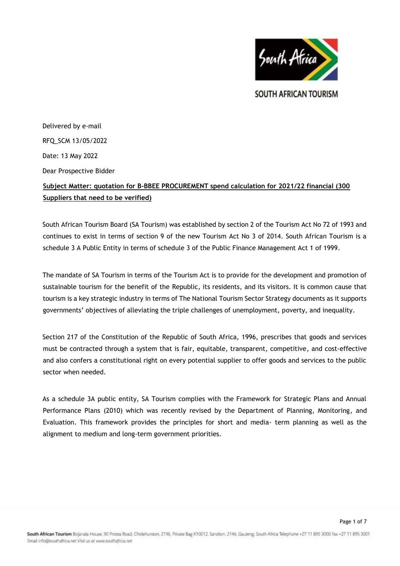

SOUTH AFRICAN TOURISM

Page 1 of 7

Delivered by e-mail RFQ\_SCM 13/05/2022 Date: 13 May 2022 Dear Prospective Bidder

# **Subject Matter: quotation for B-BBEE PROCUREMENT spend calculation for 2021/22 financial (300 Suppliers that need to be verified)**

South African Tourism Board (SA Tourism) was established by section 2 of the Tourism Act No 72 of 1993 and continues to exist in terms of section 9 of the new Tourism Act No 3 of 2014. South African Tourism is a schedule 3 A Public Entity in terms of schedule 3 of the Public Finance Management Act 1 of 1999.

The mandate of SA Tourism in terms of the Tourism Act is to provide for the development and promotion of sustainable tourism for the benefit of the Republic, its residents, and its visitors. It is common cause that tourism is a key strategic industry in terms of The National Tourism Sector Strategy documents as it supports governments' objectives of alleviating the triple challenges of unemployment, poverty, and inequality.

Section 217 of the Constitution of the Republic of South Africa, 1996, prescribes that goods and services must be contracted through a system that is fair, equitable, transparent, competitive, and cost-effective and also confers a constitutional right on every potential supplier to offer goods and services to the public sector when needed.

As a schedule 3A public entity, SA Tourism complies with the Framework for Strategic Plans and Annual Performance Plans (2010) which was recently revised by the Department of Planning, Monitoring, and Evaluation. This framework provides the principles for short and media- term planning as well as the alignment to medium and long-term government priorities.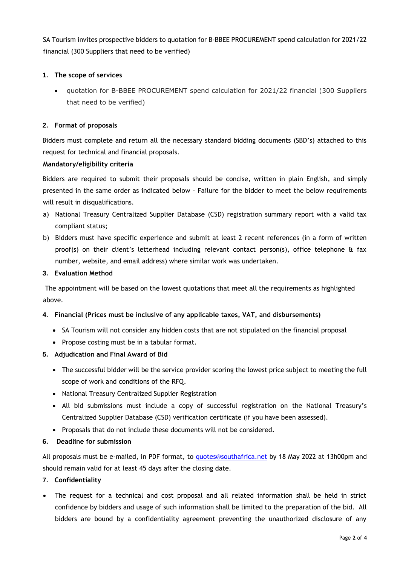SA Tourism invites prospective bidders to quotation for B-BBEE PROCUREMENT spend calculation for 2021/22 financial (300 Suppliers that need to be verified)

#### **1. The scope of services**

 quotation for B-BBEE PROCUREMENT spend calculation for 2021/22 financial (300 Suppliers that need to be verified)

#### **2. Format of proposals**

Bidders must complete and return all the necessary standard bidding documents (SBD's) attached to this request for technical and financial proposals.

#### **Mandatory/eligibility criteria**

Bidders are required to submit their proposals should be concise, written in plain English, and simply presented in the same order as indicated below - Failure for the bidder to meet the below requirements will result in disqualifications.

- a) National Treasury Centralized Supplier Database (CSD) registration summary report with a valid tax compliant status;
- b) Bidders must have specific experience and submit at least 2 recent references (in a form of written proof(s) on their client's letterhead including relevant contact person(s), office telephone & fax number, website, and email address) where similar work was undertaken.

#### **3. Evaluation Method**

The appointment will be based on the lowest quotations that meet all the requirements as highlighted above.

# **4. Financial (Prices must be inclusive of any applicable taxes, VAT, and disbursements)**

- SA Tourism will not consider any hidden costs that are not stipulated on the financial proposal
- Propose costing must be in a tabular format.

# **5. Adjudication and Final Award of Bid**

- The successful bidder will be the service provider scoring the lowest price subject to meeting the full scope of work and conditions of the RFQ.
- National Treasury Centralized Supplier Registration
- All bid submissions must include a copy of successful registration on the National Treasury's Centralized Supplier Database (CSD) verification certificate (if you have been assessed).
- Proposals that do not include these documents will not be considered.
- **6. Deadline for submission**

All proposals must be e-mailed, in PDF format, to quotes@southafrica.net by 18 May 2022 at 13h00pm and should remain valid for at least 45 days after the closing date.

# **7. Confidentiality**

 The request for a technical and cost proposal and all related information shall be held in strict confidence by bidders and usage of such information shall be limited to the preparation of the bid. All bidders are bound by a confidentiality agreement preventing the unauthorized disclosure of any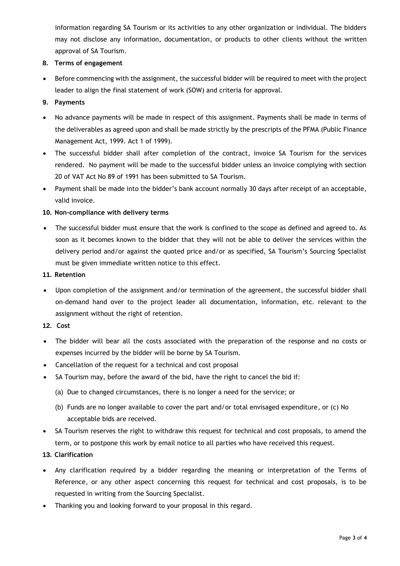information regarding SA Tourism or its activities to any other organization or individual. The bidders may not disclose any information, documentation, or products to other clients without the written approval of SA Tourism.

#### **8. Terms of engagement**

 Before commencing with the assignment, the successful bidder will be required to meet with the project leader to align the final statement of work (SOW) and criteria for approval.

# **9. Payments**

- No advance payments will be made in respect of this assignment. Payments shall be made in terms of the deliverables as agreed upon and shall be made strictly by the prescripts of the PFMA (Public Finance Management Act, 1999. Act 1 of 1999).
- The successful bidder shall after completion of the contract, invoice SA Tourism for the services rendered. No payment will be made to the successful bidder unless an invoice complying with section 20 of VAT Act No 89 of 1991 has been submitted to SA Tourism.
- Payment shall be made into the bidder's bank account normally 30 days after receipt of an acceptable, valid invoice.

#### **10. Non-compliance with delivery terms**

 The successful bidder must ensure that the work is confined to the scope as defined and agreed to. As soon as it becomes known to the bidder that they will not be able to deliver the services within the delivery period and/or against the quoted price and/or as specified, SA Tourism's Sourcing Specialist must be given immediate written notice to this effect.

#### **11. Retention**

 Upon completion of the assignment and/or termination of the agreement, the successful bidder shall on-demand hand over to the project leader all documentation, information, etc. relevant to the assignment without the right of retention.

# **12. Cost**

- The bidder will bear all the costs associated with the preparation of the response and no costs or expenses incurred by the bidder will be borne by SA Tourism.
- Cancellation of the request for a technical and cost proposal
- SA Tourism may, before the award of the bid, have the right to cancel the bid if:
	- (a) Due to changed circumstances, there is no longer a need for the service; or
	- (b) Funds are no longer available to cover the part and/or total envisaged expenditure, or (c) No acceptable bids are received.
- SA Tourism reserves the right to withdraw this request for technical and cost proposals, to amend the term, or to postpone this work by email notice to all parties who have received this request.

# **13. Clarification**

- Any clarification required by a bidder regarding the meaning or interpretation of the Terms of Reference, or any other aspect concerning this request for technical and cost proposals, is to be requested in writing from the Sourcing Specialist.
- Thanking you and looking forward to your proposal in this regard.